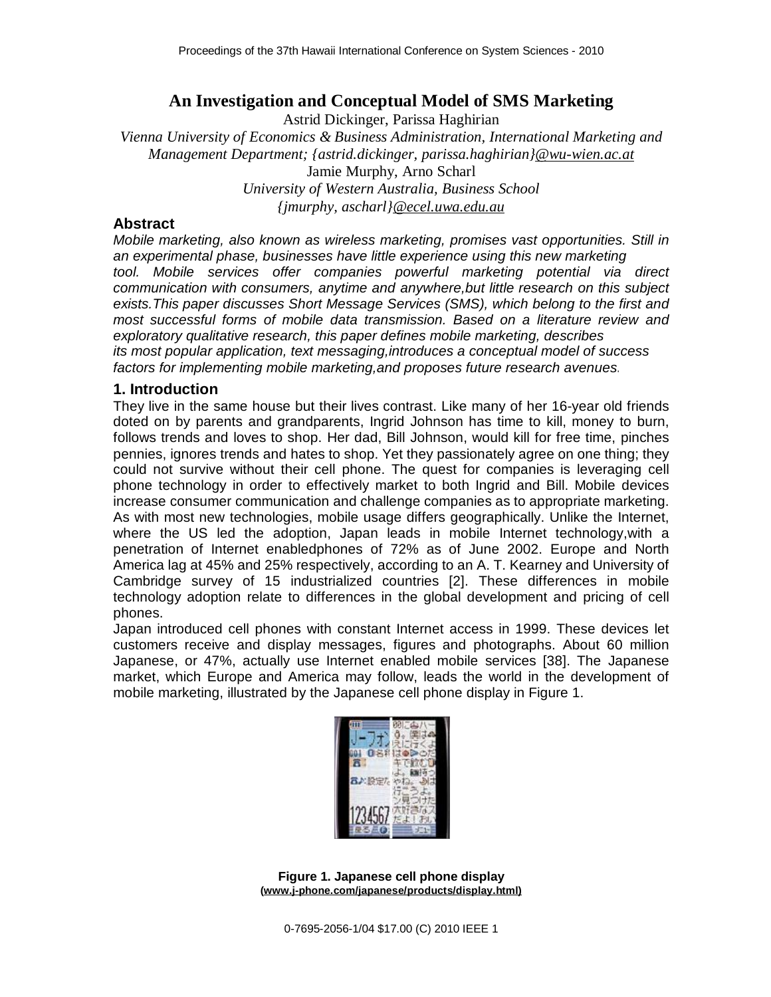# **An Investigation and Conceptual Model of SMS Marketing**

Astrid Dickinger, Parissa Haghirian

*Vienna University of Economics & Business Administration, International Marketing and Management Department; {astrid.dickinger, parissa.haghirian[}@wu-wien.ac.at](mailto:@wu-wien.ac.at)* Jamie Murphy, Arno Scharl *University of Western Australia, Business School {jmurphy, ascharl[}@ecel.uwa.edu.au](mailto:@ecel.uwa.edu.au)*

### **Abstract**

*Mobile marketing, also known as wireless marketing, promises vast opportunities. Still in an experimental phase, businesses have little experience using this new marketing tool. Mobile services offer companies powerful marketing potential via direct communication with consumers, anytime and anywhere,but little research on this subject exists.This paper discusses Short Message Services (SMS), which belong to the first and most successful forms of mobile data transmission. Based on a literature review and exploratory qualitative research, this paper defines mobile marketing, describes its most popular application, text messaging,introduces a conceptual model of success factors for implementing mobile marketing,and proposes future research avenues.* 

#### **1. Introduction**

They live in the same house but their lives contrast. Like many of her 16-year old friends doted on by parents and grandparents, Ingrid Johnson has time to kill, money to burn, follows trends and loves to shop. Her dad, Bill Johnson, would kill for free time, pinches pennies, ignores trends and hates to shop. Yet they passionately agree on one thing; they could not survive without their cell phone. The quest for companies is leveraging cell phone technology in order to effectively market to both Ingrid and Bill. Mobile devices increase consumer communication and challenge companies as to appropriate marketing. As with most new technologies, mobile usage differs geographically. Unlike the Internet, where the US led the adoption, Japan leads in mobile Internet technology,with a penetration of Internet enabledphones of 72% as of June 2002. Europe and North America lag at 45% and 25% respectively, according to an A. T. Kearney and University of Cambridge survey of 15 industrialized countries [2]. These differences in mobile technology adoption relate to differences in the global development and pricing of cell phones.

Japan introduced cell phones with constant Internet access in 1999. These devices let customers receive and display messages, figures and photographs. About 60 million Japanese, or 47%, actually use Internet enabled mobile services [38]. The Japanese market, which Europe and America may follow, leads the world in the development of mobile marketing, illustrated by the Japanese cell phone display in Figure 1.



**Figure 1. Japanese cell phone display ([www.j-phone.com/japanese/products/display.html\)](http://www.j-phone.com/japanese/products/display.html))**

0-7695-2056-1/04 \$17.00 (C) 2010 IEEE 1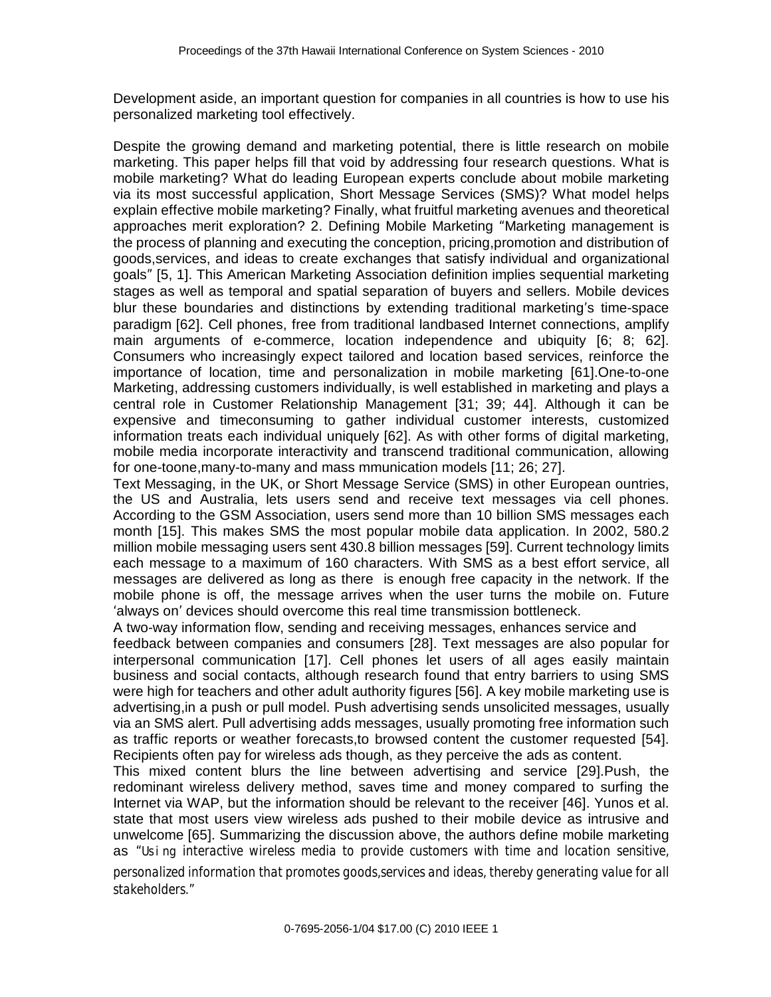Development aside, an important question for companies in all countries is how to use his personalized marketing tool effectively.

Despite the growing demand and marketing potential, there is little research on mobile marketing. This paper helps fill that void by addressing four research questions. What is mobile marketing? What do leading European experts conclude about mobile marketing via its most successful application, Short Message Services (SMS)? What model helps explain effective mobile marketing? Finally, what fruitful marketing avenues and theoretical approaches merit exploration? 2. Defining Mobile Marketing "Marketing management is the process of planning and executing the conception, pricing,promotion and distribution of goods,services, and ideas to create exchanges that satisfy individual and organizational goals" [5, 1]. This American Marketing Association definition implies sequential marketing stages as well as temporal and spatial separation of buyers and sellers. Mobile devices blur these boundaries and distinctions by extending traditional marketing's time-space paradigm [62]. Cell phones, free from traditional landbased Internet connections, amplify main arguments of e-commerce, location independence and ubiquity [6; 8; 62]. Consumers who increasingly expect tailored and location based services, reinforce the importance of location, time and personalization in mobile marketing [61].One-to-one Marketing, addressing customers individually, is well established in marketing and plays a central role in Customer Relationship Management [31; 39; 44]. Although it can be expensive and timeconsuming to gather individual customer interests, customized information treats each individual uniquely [62]. As with other forms of digital marketing, mobile media incorporate interactivity and transcend traditional communication, allowing for one-toone,many-to-many and mass mmunication models [11; 26; 27].

Text Messaging, in the UK, or Short Message Service (SMS) in other European ountries, the US and Australia, lets users send and receive text messages via cell phones. According to the GSM Association, users send more than 10 billion SMS messages each month [15]. This makes SMS the most popular mobile data application. In 2002, 580.2 million mobile messaging users sent 430.8 billion messages [59]. Current technology limits each message to a maximum of 160 characters. With SMS as a best effort service, all messages are delivered as long as there is enough free capacity in the network. If the mobile phone is off, the message arrives when the user turns the mobile on. Future 'always on' devices should overcome this real time transmission bottleneck.

A two-way information flow, sending and receiving messages, enhances service and feedback between companies and consumers [28]. Text messages are also popular for interpersonal communication [17]. Cell phones let users of all ages easily maintain business and social contacts, although research found that entry barriers to using SMS were high for teachers and other adult authority figures [56]. A key mobile marketing use is advertising,in a push or pull model. Push advertising sends unsolicited messages, usually via an SMS alert. Pull advertising adds messages, usually promoting free information such as traffic reports or weather forecasts,to browsed content the customer requested [54]. Recipients often pay for wireless ads though, as they perceive the ads as content.

This mixed content blurs the line between advertising and service [29].Push, the redominant wireless delivery method, saves time and money compared to surfing the Internet via WAP, but the information should be relevant to the receiver [46]. Yunos et al. state that most users view wireless ads pushed to their mobile device as intrusive and unwelcome [65]. Summarizing the discussion above, the authors define mobile marketing as *"Usi ng interactive wireless media to provide customers with time and location sensitive,* 

*personalized information that promotes goods,services and ideas, thereby generating value for all stakeholders."*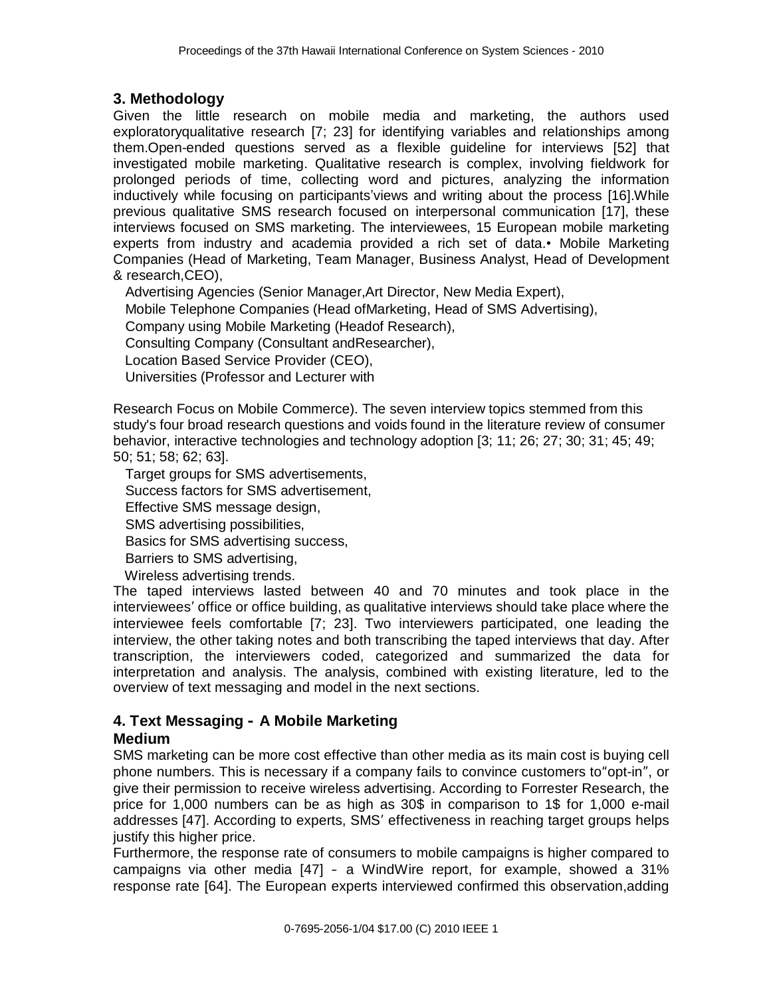# **3. Methodology**

Given the little research on mobile media and marketing, the authors used exploratoryqualitative research [7; 23] for identifying variables and relationships among them.Open-ended questions served as a flexible guideline for interviews [52] that investigated mobile marketing. Qualitative research is complex, involving fieldwork for prolonged periods of time, collecting word and pictures, analyzing the information inductively while focusing on participants'views and writing about the process [16].While previous qualitative SMS research focused on interpersonal communication [17], these interviews focused on SMS marketing. The interviewees, 15 European mobile marketing experts from industry and academia provided a rich set of data.• Mobile Marketing Companies (Head of Marketing, Team Manager, Business Analyst, Head of Development & research,CEO),

Advertising Agencies (Senior Manager,Art Director, New Media Expert),

Mobile Telephone Companies (Head ofMarketing, Head of SMS Advertising),

Company using Mobile Marketing (Headof Research),

Consulting Company (Consultant andResearcher),

Location Based Service Provider (CEO),

Universities (Professor and Lecturer with

Research Focus on Mobile Commerce). The seven interview topics stemmed from this study's four broad research questions and voids found in the literature review of consumer behavior, interactive technologies and technology adoption [3; 11; 26; 27; 30; 31; 45; 49; 50; 51; 58; 62; 63].

Target groups for SMS advertisements, Success factors for SMS advertisement, Effective SMS message design, SMS advertising possibilities, Basics for SMS advertising success, Barriers to SMS advertising, Wireless advertising trends.

The taped interviews lasted between 40 and 70 minutes and took place in the interviewees' office or office building, as qualitative interviews should take place where the interviewee feels comfortable [7; 23]. Two interviewers participated, one leading the interview, the other taking notes and both transcribing the taped interviews that day. After transcription, the interviewers coded, categorized and summarized the data for interpretation and analysis. The analysis, combined with existing literature, led to the overview of text messaging and model in the next sections.

# **4. Text Messaging – A Mobile Marketing**

## **Medium**

SMS marketing can be more cost effective than other media as its main cost is buying cell phone numbers. This is necessary if a company fails to convince customers to"opt-in", or give their permission to receive wireless advertising. According to Forrester Research, the price for 1,000 numbers can be as high as 30\$ in comparison to 1\$ for 1,000 e-mail addresses [47]. According to experts, SMS' effectiveness in reaching target groups helps justify this higher price.

Furthermore, the response rate of consumers to mobile campaigns is higher compared to campaigns via other media [47] – a WindWire report, for example, showed a 31% response rate [64]. The European experts interviewed confirmed this observation,adding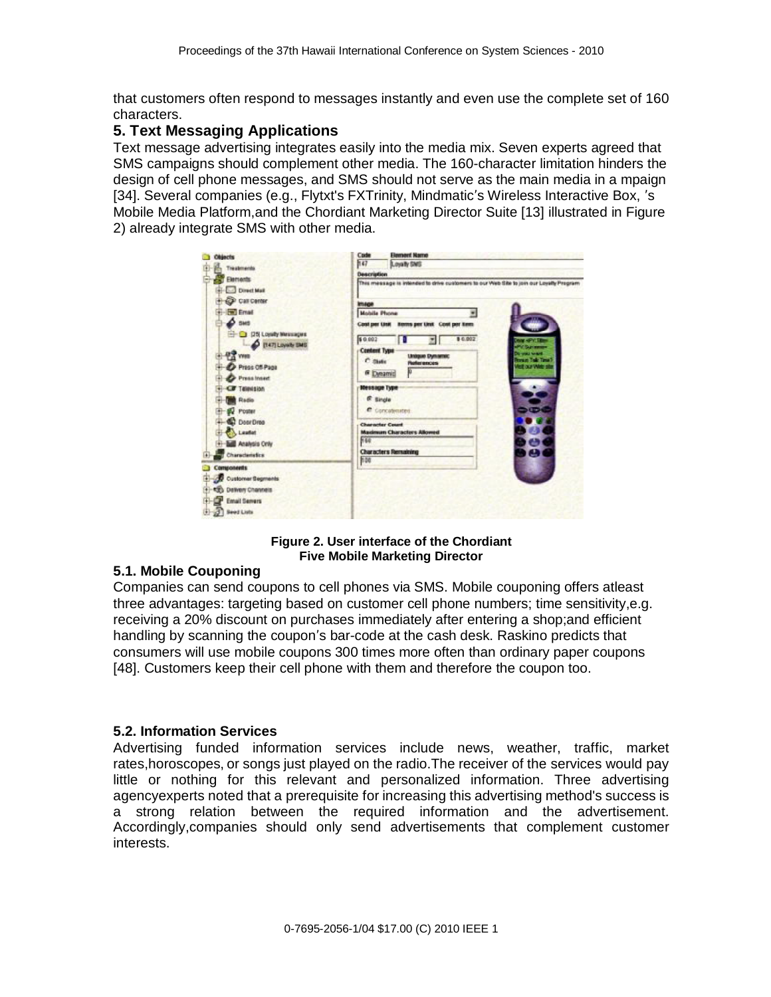that customers often respond to messages instantly and even use the complete set of 160 characters.

## **5. Text Messaging Applications**

Text message advertising integrates easily into the media mix. Seven experts agreed that SMS campaigns should complement other media. The 160-character limitation hinders the design of cell phone messages, and SMS should not serve as the main media in a mpaign [34]. Several companies (e.g., Flytxt's FXTrinity, Mindmatic's Wireless Interactive Box, 's Mobile Media Platform,and the Chordiant Marketing Director Suite [13] illustrated in Figure 2) already integrate SMS with other media.



**Figure 2. User interface of the Chordiant Five Mobile Marketing Director** 

#### **5.1. Mobile Couponing**

Companies can send coupons to cell phones via SMS. Mobile couponing offers atleast three advantages: targeting based on customer cell phone numbers; time sensitivity,e.g. receiving a 20% discount on purchases immediately after entering a shop;and efficient handling by scanning the coupon's bar-code at the cash desk. Raskino predicts that consumers will use mobile coupons 300 times more often than ordinary paper coupons [48]. Customers keep their cell phone with them and therefore the coupon too.

#### **5.2. Information Services**

Advertising funded information services include news, weather, traffic, market rates,horoscopes, or songs just played on the radio.The receiver of the services would pay little or nothing for this relevant and personalized information. Three advertising agencyexperts noted that a prerequisite for increasing this advertising method's success is a strong relation between the required information and the advertisement. Accordingly,companies should only send advertisements that complement customer interests.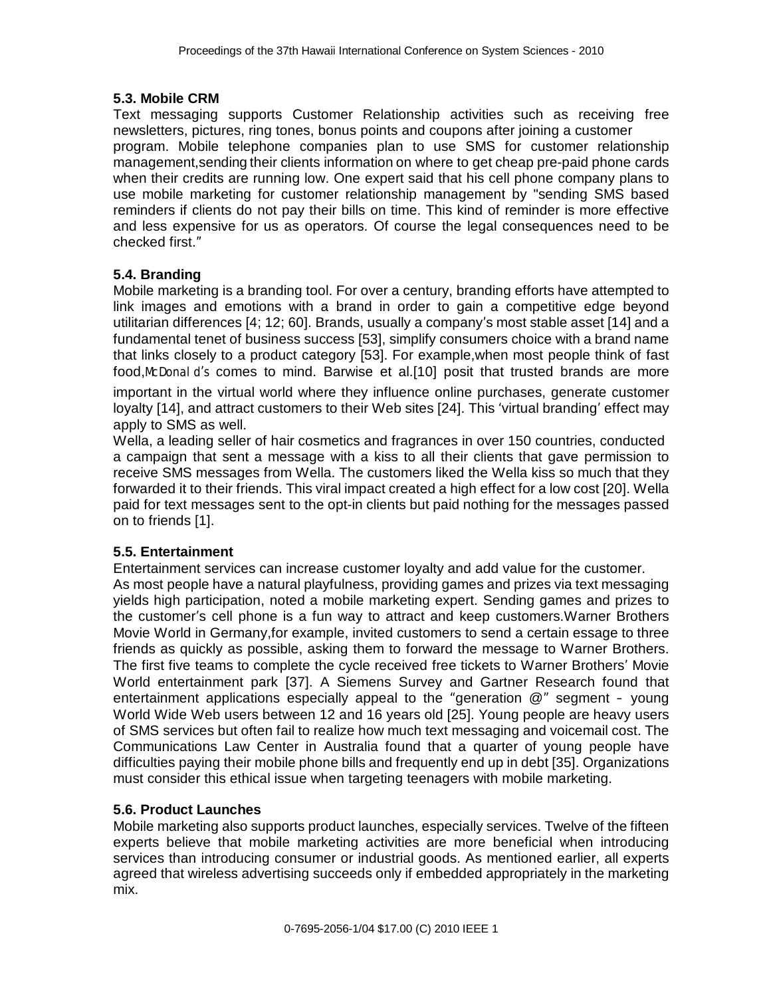#### **5.3. Mobile CRM**

Text messaging supports Customer Relationship activities such as receiving free newsletters, pictures, ring tones, bonus points and coupons after joining a customer program. Mobile telephone companies plan to use SMS for customer relationship management,sending their clients information on where to get cheap pre-paid phone cards when their credits are running low. One expert said that his cell phone company plans to use mobile marketing for customer relationship management by "sending SMS based reminders if clients do not pay their bills on time. This kind of reminder is more effective and less expensive for us as operators. Of course the legal consequences need to be checked first."

## **5.4. Branding**

Mobile marketing is a branding tool. For over a century, branding efforts have attempted to link images and emotions with a brand in order to gain a competitive edge beyond utilitarian differences [4; 12; 60]. Brands, usually a company's most stable asset [14] and a fundamental tenet of business success [53], simplify consumers choice with a brand name that links closely to a product category [53]. For example,when most people think of fast food,*McDonal d's* comes to mind. Barwise et al.[10] posit that trusted brands are more important in the virtual world where they influence online purchases, generate customer loyalty [14], and attract customers to their Web sites [24]. This 'virtual branding' effect may apply to SMS as well.

Wella, a leading seller of hair cosmetics and fragrances in over 150 countries, conducted a campaign that sent a message with a kiss to all their clients that gave permission to receive SMS messages from Wella. The customers liked the Wella kiss so much that they forwarded it to their friends. This viral impact created a high effect for a low cost [20]. Wella paid for text messages sent to the opt-in clients but paid nothing for the messages passed on to friends [1].

#### **5.5. Entertainment**

Entertainment services can increase customer loyalty and add value for the customer. As most people have a natural playfulness, providing games and prizes via text messaging yields high participation, noted a mobile marketing expert. Sending games and prizes to the customer's cell phone is a fun way to attract and keep customers.Warner Brothers Movie World in Germany,for example, invited customers to send a certain essage to three friends as quickly as possible, asking them to forward the message to Warner Brothers. The first five teams to complete the cycle received free tickets to Warner Brothers' Movie World entertainment park [37]. A Siemens Survey and Gartner Research found that entertainment applications especially appeal to the "generation @" segment – young World Wide Web users between 12 and 16 years old [25]. Young people are heavy users of SMS services but often fail to realize how much text messaging and voicemail cost. The Communications Law Center in Australia found that a quarter of young people have difficulties paying their mobile phone bills and frequently end up in debt [35]. Organizations must consider this ethical issue when targeting teenagers with mobile marketing.

#### **5.6. Product Launches**

Mobile marketing also supports product launches, especially services. Twelve of the fifteen experts believe that mobile marketing activities are more beneficial when introducing services than introducing consumer or industrial goods. As mentioned earlier, all experts agreed that wireless advertising succeeds only if embedded appropriately in the marketing mix.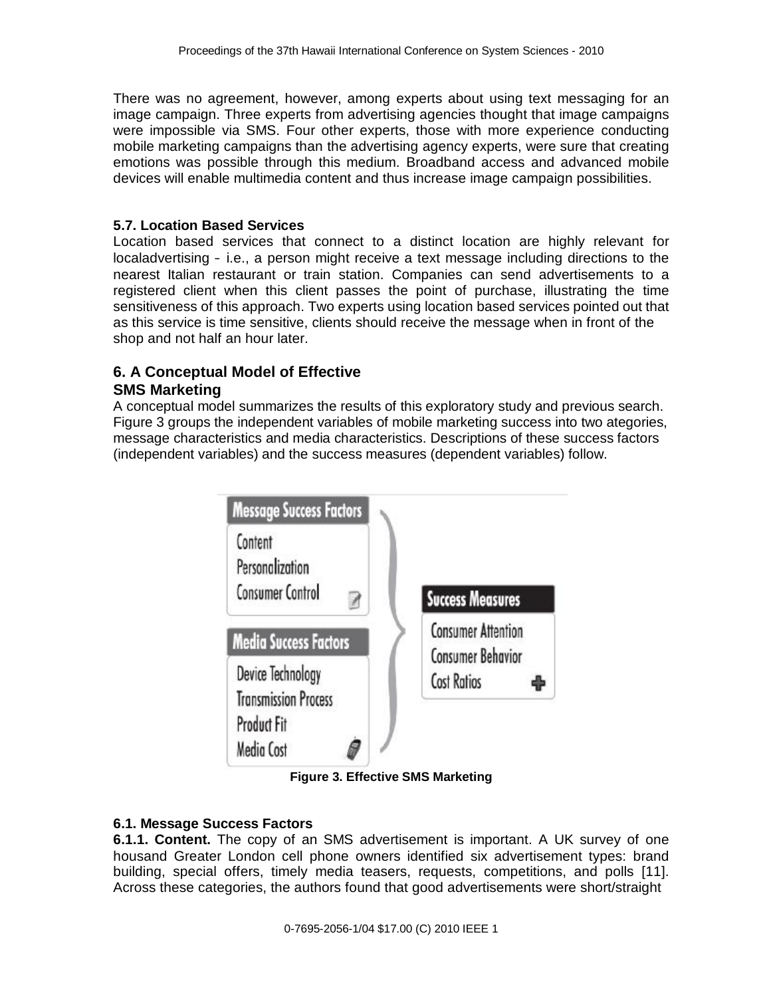There was no agreement, however, among experts about using text messaging for an image campaign. Three experts from advertising agencies thought that image campaigns were impossible via SMS. Four other experts, those with more experience conducting mobile marketing campaigns than the advertising agency experts, were sure that creating emotions was possible through this medium. Broadband access and advanced mobile devices will enable multimedia content and thus increase image campaign possibilities.

#### **5.7. Location Based Services**

Location based services that connect to a distinct location are highly relevant for localadvertising – i.e., a person might receive a text message including directions to the nearest Italian restaurant or train station. Companies can send advertisements to a registered client when this client passes the point of purchase, illustrating the time sensitiveness of this approach. Two experts using location based services pointed out that as this service is time sensitive, clients should receive the message when in front of the shop and not half an hour later.

#### **6. A Conceptual Model of Effective SMS Marketing**

A conceptual model summarizes the results of this exploratory study and previous search. Figure 3 groups the independent variables of mobile marketing success into two ategories, message characteristics and media characteristics. Descriptions of these success factors (independent variables) and the success measures (dependent variables) follow.



**Figure 3. Effective SMS Marketing** 

#### **6.1. Message Success Factors**

**6.1.1. Content.** The copy of an SMS advertisement is important. A UK survey of one housand Greater London cell phone owners identified six advertisement types: brand building, special offers, timely media teasers, requests, competitions, and polls [11]. Across these categories, the authors found that good advertisements were short/straight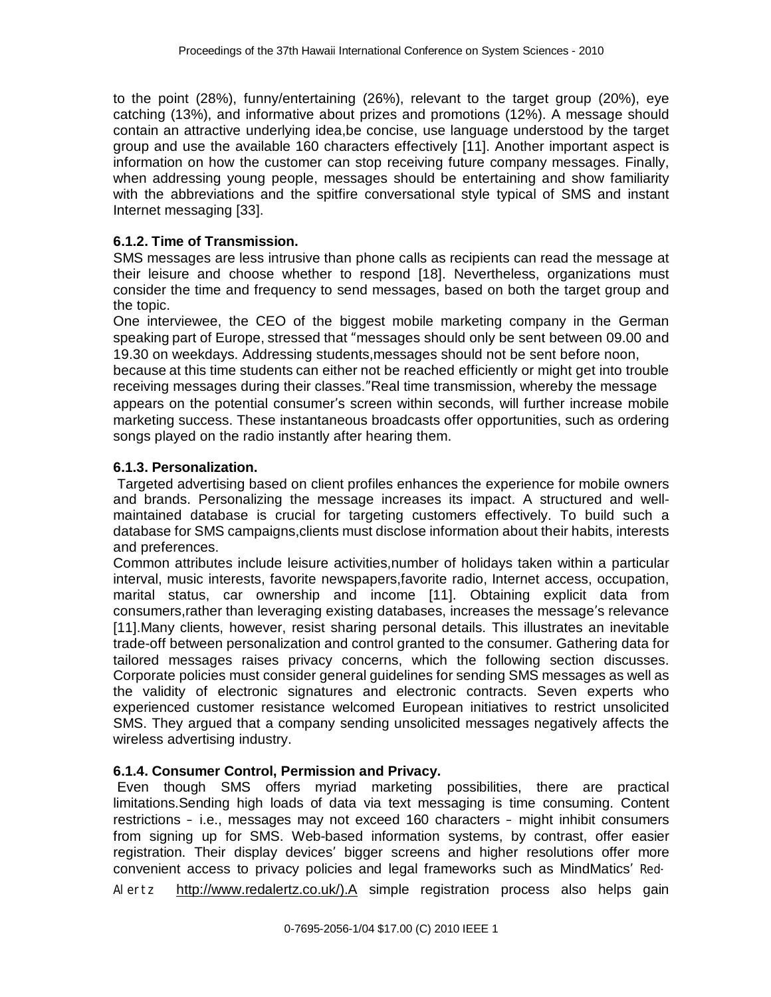to the point (28%), funny/entertaining (26%), relevant to the target group (20%), eye catching (13%), and informative about prizes and promotions (12%). A message should contain an attractive underlying idea,be concise, use language understood by the target group and use the available 160 characters effectively [11]. Another important aspect is information on how the customer can stop receiving future company messages. Finally, when addressing young people, messages should be entertaining and show familiarity with the abbreviations and the spitfire conversational style typical of SMS and instant Internet messaging [33].

#### **6.1.2. Time of Transmission.**

SMS messages are less intrusive than phone calls as recipients can read the message at their leisure and choose whether to respond [18]. Nevertheless, organizations must consider the time and frequency to send messages, based on both the target group and the topic.

One interviewee, the CEO of the biggest mobile marketing company in the German speaking part of Europe, stressed that "messages should only be sent between 09.00 and 19.30 on weekdays. Addressing students,messages should not be sent before noon, because at this time students can either not be reached efficiently or might get into trouble receiving messages during their classes."Real time transmission, whereby the message appears on the potential consumer's screen within seconds, will further increase mobile marketing success. These instantaneous broadcasts offer opportunities, such as ordering songs played on the radio instantly after hearing them.

#### **6.1.3. Personalization.**

Targeted advertising based on client profiles enhances the experience for mobile owners and brands. Personalizing the message increases its impact. A structured and wellmaintained database is crucial for targeting customers effectively. To build such a database for SMS campaigns,clients must disclose information about their habits, interests and preferences.

Common attributes include leisure activities,number of holidays taken within a particular interval, music interests, favorite newspapers,favorite radio, Internet access, occupation, marital status, car ownership and income [11]. Obtaining explicit data from consumers,rather than leveraging existing databases, increases the message's relevance [11].Many clients, however, resist sharing personal details. This illustrates an inevitable trade-off between personalization and control granted to the consumer. Gathering data for tailored messages raises privacy concerns, which the following section discusses. Corporate policies must consider general guidelines for sending SMS messages as well as the validity of electronic signatures and electronic contracts. Seven experts who experienced customer resistance welcomed European initiatives to restrict unsolicited SMS. They argued that a company sending unsolicited messages negatively affects the wireless advertising industry.

#### **6.1.4. Consumer Control, Permission and Privacy.**

Even though SMS offers myriad marketing possibilities, there are practical limitations.Sending high loads of data via text messaging is time consuming. Content restrictions – i.e., messages may not exceed 160 characters – might inhibit consumers from signing up for SMS. Web-based information systems, by contrast, offer easier registration. Their display devices' bigger screens and higher resolutions offer more convenient access to privacy policies and legal frameworks such as MindMatics' *Red-*

*Al er t z* [http://www.redalertz.co.uk/\).A](http://www.redalertz.co.uk/).A) simple registration process also helps gain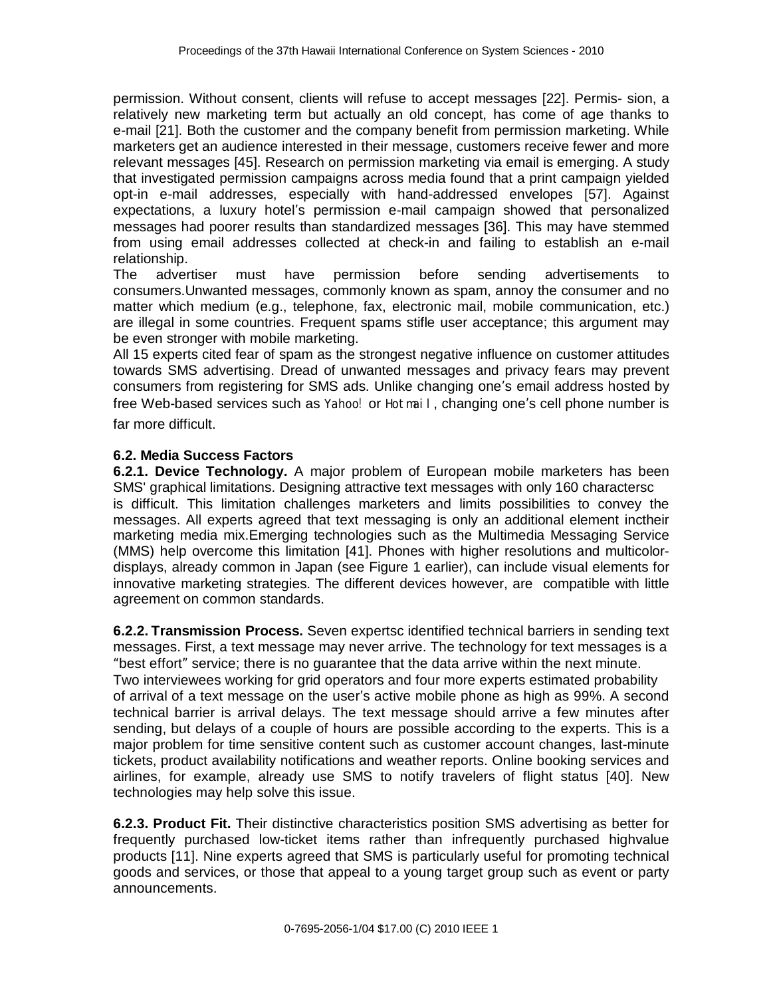permission. Without consent, clients will refuse to accept messages [22]. Permis- sion, a relatively new marketing term but actually an old concept, has come of age thanks to e-mail [21]. Both the customer and the company benefit from permission marketing. While marketers get an audience interested in their message, customers receive fewer and more relevant messages [45]. Research on permission marketing via email is emerging. A study that investigated permission campaigns across media found that a print campaign yielded opt-in e-mail addresses, especially with hand-addressed envelopes [57]. Against expectations, a luxury hotel's permission e-mail campaign showed that personalized messages had poorer results than standardized messages [36]. This may have stemmed from using email addresses collected at check-in and failing to establish an e-mail relationship.

The advertiser must have permission before sending advertisements to consumers.Unwanted messages, commonly known as spam, annoy the consumer and no matter which medium (e.g., telephone, fax, electronic mail, mobile communication, etc.) are illegal in some countries. Frequent spams stifle user acceptance; this argument may be even stronger with mobile marketing.

All 15 experts cited fear of spam as the strongest negative influence on customer attitudes towards SMS advertising. Dread of unwanted messages and privacy fears may prevent consumers from registering for SMS ads. Unlike changing one's email address hosted by free Web-based services such as *Yahoo!* or *Hot mai l* , changing one's cell phone number is far more difficult.

#### **6.2. Media Success Factors**

**6.2.1. Device Technology.** A major problem of European mobile marketers has been SMS' graphical limitations. Designing attractive text messages with only 160 charactersc is difficult. This limitation challenges marketers and limits possibilities to convey the messages. All experts agreed that text messaging is only an additional element inctheir marketing media mix.Emerging technologies such as the Multimedia Messaging Service (MMS) help overcome this limitation [41]. Phones with higher resolutions and multicolordisplays, already common in Japan (see Figure 1 earlier), can include visual elements for innovative marketing strategies. The different devices however, are compatible with little agreement on common standards.

**6.2.2. Transmission Process.** Seven expertsc identified technical barriers in sending text messages. First, a text message may never arrive. The technology for text messages is a "best effort" service; there is no guarantee that the data arrive within the next minute. Two interviewees working for grid operators and four more experts estimated probability of arrival of a text message on the user's active mobile phone as high as 99%. A second technical barrier is arrival delays. The text message should arrive a few minutes after sending, but delays of a couple of hours are possible according to the experts. This is a major problem for time sensitive content such as customer account changes, last-minute tickets, product availability notifications and weather reports. Online booking services and airlines, for example, already use SMS to notify travelers of flight status [40]. New technologies may help solve this issue.

**6.2.3. Product Fit.** Their distinctive characteristics position SMS advertising as better for frequently purchased low-ticket items rather than infrequently purchased highvalue products [11]. Nine experts agreed that SMS is particularly useful for promoting technical goods and services, or those that appeal to a young target group such as event or party announcements.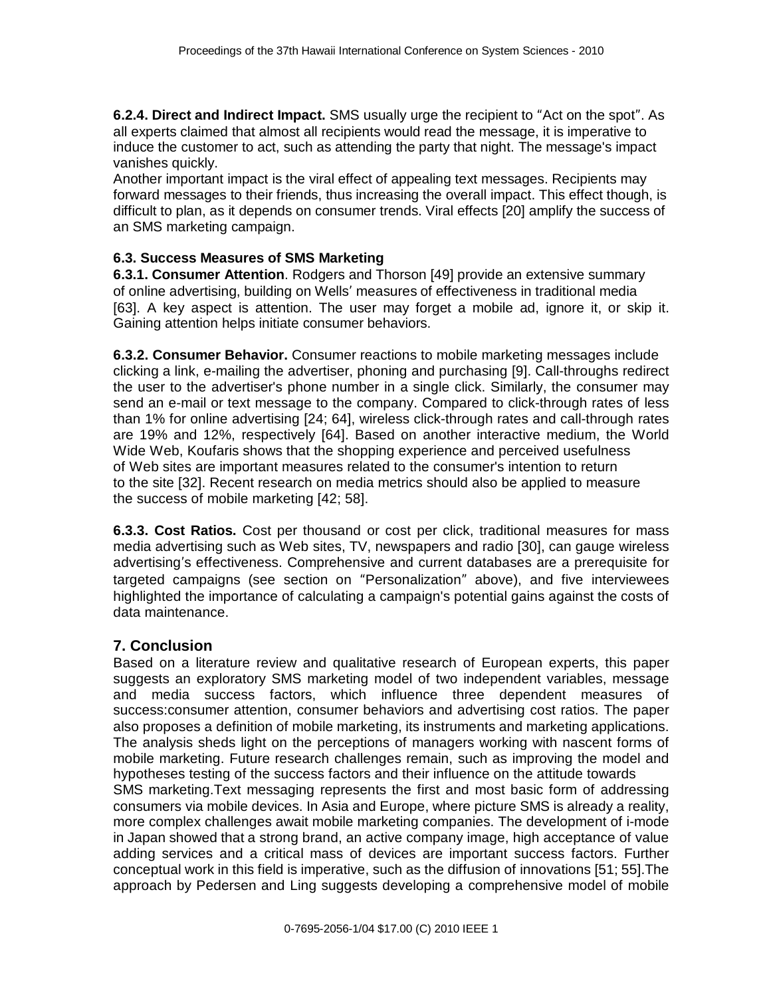**6.2.4. Direct and Indirect Impact.** SMS usually urge the recipient to "Act on the spot". As all experts claimed that almost all recipients would read the message, it is imperative to induce the customer to act, such as attending the party that night. The message's impact vanishes quickly.

Another important impact is the viral effect of appealing text messages. Recipients may forward messages to their friends, thus increasing the overall impact. This effect though, is difficult to plan, as it depends on consumer trends. Viral effects [20] amplify the success of an SMS marketing campaign.

#### **6.3. Success Measures of SMS Marketing**

**6.3.1. Consumer Attention**. Rodgers and Thorson [49] provide an extensive summary of online advertising, building on Wells' measures of effectiveness in traditional media [63]. A key aspect is attention. The user may forget a mobile ad, ignore it, or skip it. Gaining attention helps initiate consumer behaviors.

**6.3.2. Consumer Behavior.** Consumer reactions to mobile marketing messages include clicking a link, e-mailing the advertiser, phoning and purchasing [9]. Call-throughs redirect the user to the advertiser's phone number in a single click. Similarly, the consumer may send an e-mail or text message to the company. Compared to click-through rates of less than 1% for online advertising [24; 64], wireless click-through rates and call-through rates are 19% and 12%, respectively [64]. Based on another interactive medium, the World Wide Web, Koufaris shows that the shopping experience and perceived usefulness of Web sites are important measures related to the consumer's intention to return to the site [32]. Recent research on media metrics should also be applied to measure the success of mobile marketing [42; 58].

**6.3.3. Cost Ratios.** Cost per thousand or cost per click, traditional measures for mass media advertising such as Web sites, TV, newspapers and radio [30], can gauge wireless advertising's effectiveness. Comprehensive and current databases are a prerequisite for targeted campaigns (see section on "Personalization" above), and five interviewees highlighted the importance of calculating a campaign's potential gains against the costs of data maintenance.

#### **7. Conclusion**

Based on a literature review and qualitative research of European experts, this paper suggests an exploratory SMS marketing model of two independent variables, message and media success factors, which influence three dependent measures of success:consumer attention, consumer behaviors and advertising cost ratios. The paper also proposes a definition of mobile marketing, its instruments and marketing applications. The analysis sheds light on the perceptions of managers working with nascent forms of mobile marketing. Future research challenges remain, such as improving the model and hypotheses testing of the success factors and their influence on the attitude towards SMS marketing.Text messaging represents the first and most basic form of addressing consumers via mobile devices. In Asia and Europe, where picture SMS is already a reality, more complex challenges await mobile marketing companies. The development of i-mode in Japan showed that a strong brand, an active company image, high acceptance of value adding services and a critical mass of devices are important success factors. Further conceptual work in this field is imperative, such as the diffusion of innovations [51; 55].The approach by Pedersen and Ling suggests developing a comprehensive model of mobile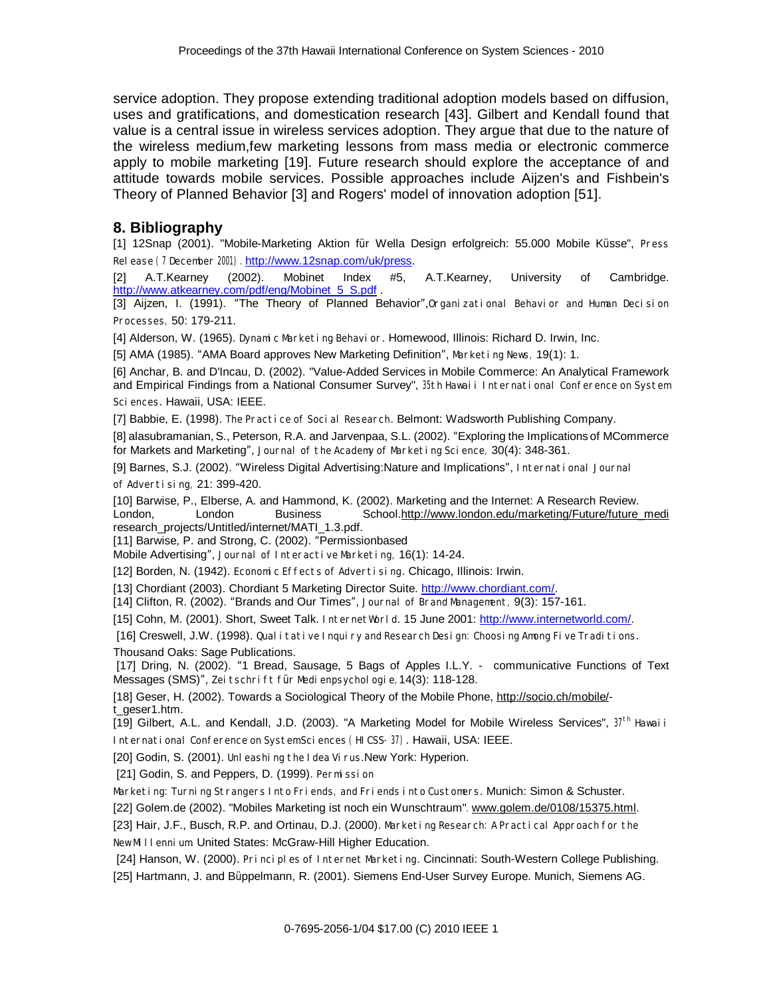service adoption. They propose extending traditional adoption models based on diffusion, uses and gratifications, and domestication research [43]. Gilbert and Kendall found that value is a central issue in wireless services adoption. They argue that due to the nature of the wireless medium,few marketing lessons from mass media or electronic commerce apply to mobile marketing [19]. Future research should explore the acceptance of and attitude towards mobile services. Possible approaches include Aijzen's and Fishbein's Theory of Planned Behavior [3] and Rogers' model of innovation adoption [51].

#### **8. Bibliography**

[1] 12Snap (2001). "Mobile-Marketing Aktion für Wella Design erfolgreich: 55.000 Mobile Küsse", *Pr ess Rel ease (7 December 2001).* <http://www.12snap.com/uk/press>.

[2] A.T.Kearney (2002). Mobinet Index #5, A.T.Kearney, University of Cambridge. http://www.atkearney.com/pdf/eng/Mobinet\_5\_S.pdf

[3] Aijzen, I. (1991). "The Theory of Planned Behavior",*Or gani zat i onal Behavi or and Human Deci si on Pr ocesses,* 50: 179-211.

[4] Alderson, W. (1965). *Dynami c Mar ket i ng Behavi or* . Homewood, Illinois: Richard D. Irwin, Inc.

[5] AMA (1985). "AMA Board approves New Marketing Definition", *Mar ket i ng News,* 19(1): 1.

[6] Anchar, B. and D'Incau, D. (2002). "Value-Added Services in Mobile Commerce: An Analytical Framework and Empirical Findings from a National Consumer Survey", 35th Havai i International Conference on System *Sci ences*. Hawaii, USA: IEEE.

[7] Babbie, E. (1998). *The Pr act i ce of Soci al Resear ch*. Belmont: Wadsworth Publishing Company.

[8] alasubramanian, S., Peterson, R.A. and Jarvenpaa, S.L. (2002). "Exploring the Implications of MCommerce for Markets and Marketing", *Jour nal of t he Academy of Mar ket i ng Sci ence,* 30(4): 348-361.

[9] Barnes, S.J. (2002). "Wireless Digital Advertising:Nature and Implications", *I nt er nat i onal Jour nal of Adver t i si ng,* 21: 399-420.

[10] Barwise, P., Elberse, A. and Hammond, K. (2002). Marketing and the Internet: A Research Review. London, London Business School.[http://www.london.edu/marketing/Future/future\\_medi](http://www.london.edu/marketing/Future/future_medi) research\_projects/Untitled/internet/MATI\_1.3.pdf.

[11] Barwise, P. and Strong, C. (2002). "Permissionbased

Mobile Advertising", *Jour nal of I nt er act i ve Mar ket i ng,* 16(1): 14-24.

[12] Borden, N. (1942). *Economi c Ef f ect s of Adver t i si ng*. Chicago, Illinois: Irwin.

[13] Chordiant (2003). Chordiant 5 Marketing Director Suite. [http://www.chordiant.com/.](http://www.chordiant.com/)

[14] Clifton, R. (2002). "Brands and Our Times", *Jour nal of Br and Management ,* 9(3): 157-161.

[15] Cohn, M. (2001). Short, Sweet Talk. *I nt er net Wor l d*. 15 June 2001:<http://www.internetworld.com/>.

[16] Creswell, J.W. (1998). Qual it at ive I nguiry and Research Design: Choosing Among Five Traditions. Thousand Oaks: Sage Publications.

[17] Dring, N. (2002). "1 Bread, Sausage, 5 Bags of Apples I.L.Y. - communicative Functions of Text Messages (SMS)", *Zei t schr i f t f ür Medi enpsychol ogi e,*14(3): 118-128.

[18] Geser, H. (2002). Towards a Sociological Theory of the Mobile Phone, <http://socio.ch/mobile/> t\_geser1.htm.

[19] Gilbert, A.L. and Kendall, J.D. (2003). "A Marketing Model for Mobile Wireless Services", *37t h Hawai i I nt er nat i onal Conf er ence on Syst emSci ences (HI CSS-37)*. Hawaii, USA: IEEE.

[20] Godin, S. (2001). *Unl eashi ng t he I dea Vi r us*.New York: Hyperion.

[21] Godin, S. and Peppers, D. (1999). *Per mi ssi on*

Mar ket i ng: Tur ni ng St r anger s I nt o Fr i ends, and Fr i ends i nt o Qust oner s. Munich: Simon & Schuster.

[22] Golem.de (2002). "Mobiles Marketing ist noch ein Wunschtraum"*.* [www.golem.de/0108/15375.html](http://www.golem.de/0108/15375.html).

[23] Hair, J.F., Busch, R.P. and Ortinau, D.J. (2000). Market ing Research: APractical Approach for the *NewMill enni um*. United States: McGraw-Hill Higher Education.

 [24] Hanson, W. (2000). *Pr i nci pl es of I nt er net Mar ket i ng*. Cincinnati: South-Western College Publishing. [25] Hartmann, J. and Büppelmann, R. (2001). Siemens End-User Survey Europe. Munich, Siemens AG.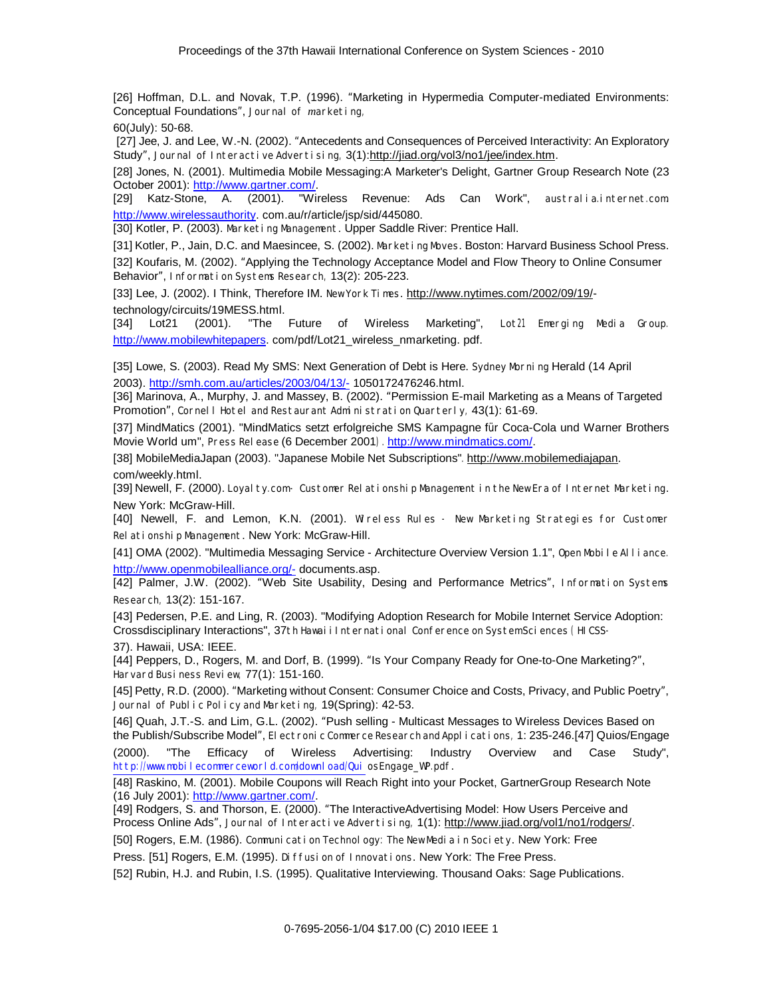[26] Hoffman, D.L. and Novak, T.P. (1996). "Marketing in Hypermedia Computer-mediated Environments: Conceptual Foundations", *Jour nal of mar ket i ng,* 

60(July): 50-68.

 [27] Jee, J. and Lee, W.-N. (2002). "Antecedents and Consequences of Perceived Interactivity: An Exploratory Study", *Jour nal of I nt er act i ve Adver t i si ng,* 3(1):<http://jiad.org/vol3/no1/jee/index.htm>.

[28] Jones, N. (2001). Multimedia Mobile Messaging:A Marketer's Delight, Gartner Group Research Note (23 October 2001): [http://www.gartner.com/.](http://www.gartner.com/)

[29] Katz-Stone, A. (2001). "Wireless Revenue: Ads Can Work", *aust r al i a.i nt er net .com.*  <http://www.wirelessauthority>. com.au/r/article/jsp/sid/445080.

[30] Kotler, P. (2003). *Mar ket i ng Management* . Upper Saddle River: Prentice Hall.

[31] Kotler, P., Jain, D.C. and Maesincee, S. (2002). *Mar ket i ng Moves*. Boston: Harvard Business School Press. [32] Koufaris, M. (2002). "Applying the Technology Acceptance Model and Flow Theory to Online Consumer Behavior", *I nf or mat i on Syst ems Resear ch,* 13(2): 205-223.

[33] Lee, J. (2002). I Think, Therefore IM. *NewYor k Ti mes*. <http://www.nytimes.com/2002/09/19/> technology/circuits/19MESS.html.

[34] Lot21 (2001). "The Future of Wireless Marketing", *Lot 21 Emer gi ng Medi a Gr oup.*  <http://www.mobilewhitepapers>.com/pdf/Lot21\_wireless\_nmarketing. pdf.

[35] Lowe, S. (2003). Read My SMS: Next Generation of Debt is Here. *Sydney Mor ni ng* Herald (14 April 2003). [http://smh.com.au/articles/2003/04/13/-](http://smh.com.au/articles/2003/04/13/) 1050172476246.html.

[36] Marinova, A., Murphy, J. and Massey, B. (2002). "Permission E-mail Marketing as a Means of Targeted Promotion", Cornel I Hotel and Rest aur ant Administration Quarterly, 43(1): 61-69.

[37] MindMatics (2001). "MindMatics setzt erfolgreiche SMS Kampagne für Coca-Cola und Warner Brothers Movie World um", *Pr ess Rel ease* (6 December 2001*).* <http://www.mindmatics.com/>.

[38] MobileMediaJapan (2003). "Japanese Mobile Net Subscriptions"*.* [http://www.mobilemediajapan.](http://www.mobilemediajapan) com/weekly.html.

[39] Newell, F. (2000). Loyal ty.com- Oustomer Rel at i onship Management in the New Er a of Internet Marketing. New York: McGraw-Hill.

[40] Newell, F. and Lemon, K.N. (2001). Wireless Rules - New Marketing Strategies for Customer *Rel at i onshi p Management* . New York: McGraw-Hill.

[41] OMA (2002). "Multimedia Messaging Service - Architecture Overview Version 1.1", *Open Mobile Alli ance.*  [http://www.openmobilealliance.org/-](http://www.openmobilealliance.org/) documents.asp.

[42] Palmer, J.W. (2002). "Web Site Usability, Desing and Performance Metrics", *I nf or mat i on Syst ems Resear ch,* 13(2): 151-167.

[43] Pedersen, P.E. and Ling, R. (2003). "Modifying Adoption Research for Mobile Internet Service Adoption: Crossdisciplinary Interactions", 37t h Havai i I nt er nat i onal Conf er ence on Syst emSci ences (H CSS-37). Hawaii, USA: IEEE.

[44] Peppers, D., Rogers, M. and Dorf, B. (1999). "Is Your Company Ready for One-to-One Marketing?", *Har var d Busi ness Revi ew,* 77(1): 151-160.

[45] Petty, R.D. (2000). "Marketing without Consent: Consumer Choice and Costs, Privacy, and Public Poetry", *Jour nal of Publ i c Pol i cy and Mar ket i ng,* 19(Spring): 42-53.

[46] Quah, J.T.-S. and Lim, G.L. (2002). "Push selling - Multicast Messages to Wireless Devices Based on the Publish/Subscribe Model", *El ect r oni c Commer ce Resear ch and Appl i cat i ons,* 1: 235-246.[47] Quios/Engage (2000). "The Efficacy of Wireless Advertising: Industry Overview and Case Study", *http://www.mobi l ecommer cewor l d.com/downl oad/Qui osEngage\_WP.pdf* .

[48] Raskino, M. (2001). Mobile Coupons will Reach Right into your Pocket, GartnerGroup Research Note (16 July 2001):<http://www.gartner.com/>.

[49] Rodgers, S. and Thorson, E. (2000). "The InteractiveAdvertising Model: How Users Perceive and Process Online Ads", *Jour nal of I nt er act i ve Adver t i si ng,* 1(1): [http://www.jiad.org/vol1/no1/rodgers/.](http://www.jiad.org/vol1/no1/rodgers/)

[50] Rogers, E.M. (1986). *Communi cat i on Technol ogy: The NewMedi a i n Soci et y*. New York: Free

Press. [51] Rogers, E.M. (1995). *Di f f usi on of I nnovat i ons*. New York: The Free Press.

[52] Rubin, H.J. and Rubin, I.S. (1995). Qualitative Interviewing. Thousand Oaks: Sage Publications.